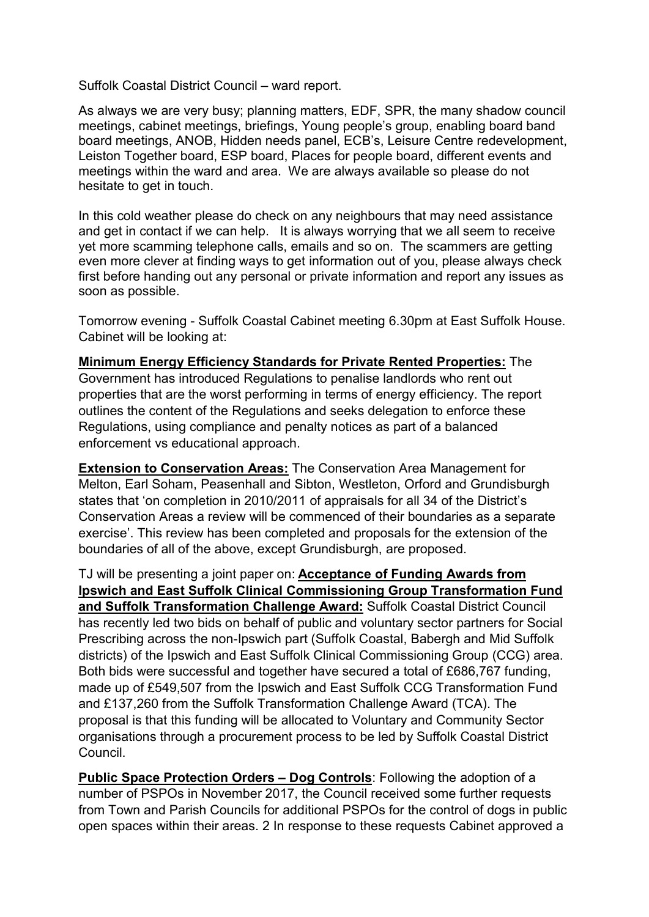Suffolk Coastal District Council – ward report.

As always we are very busy; planning matters, EDF, SPR, the many shadow council meetings, cabinet meetings, briefings, Young people's group, enabling board band board meetings, ANOB, Hidden needs panel, ECB's, Leisure Centre redevelopment, Leiston Together board, ESP board, Places for people board, different events and meetings within the ward and area. We are always available so please do not hesitate to get in touch.

In this cold weather please do check on any neighbours that may need assistance and get in contact if we can help. It is always worrying that we all seem to receive yet more scamming telephone calls, emails and so on. The scammers are getting even more clever at finding ways to get information out of you, please always check first before handing out any personal or private information and report any issues as soon as possible.

Tomorrow evening - Suffolk Coastal Cabinet meeting 6.30pm at East Suffolk House. Cabinet will be looking at:

Minimum Energy Efficiency Standards for Private Rented Properties: The Government has introduced Regulations to penalise landlords who rent out properties that are the worst performing in terms of energy efficiency. The report outlines the content of the Regulations and seeks delegation to enforce these Regulations, using compliance and penalty notices as part of a balanced enforcement vs educational approach.

Extension to Conservation Areas: The Conservation Area Management for Melton, Earl Soham, Peasenhall and Sibton, Westleton, Orford and Grundisburgh states that 'on completion in 2010/2011 of appraisals for all 34 of the District's Conservation Areas a review will be commenced of their boundaries as a separate exercise'. This review has been completed and proposals for the extension of the boundaries of all of the above, except Grundisburgh, are proposed.

TJ will be presenting a joint paper on: Acceptance of Funding Awards from Ipswich and East Suffolk Clinical Commissioning Group Transformation Fund and Suffolk Transformation Challenge Award: Suffolk Coastal District Council has recently led two bids on behalf of public and voluntary sector partners for Social Prescribing across the non-Ipswich part (Suffolk Coastal, Babergh and Mid Suffolk districts) of the Ipswich and East Suffolk Clinical Commissioning Group (CCG) area. Both bids were successful and together have secured a total of £686,767 funding, made up of £549,507 from the Ipswich and East Suffolk CCG Transformation Fund and £137,260 from the Suffolk Transformation Challenge Award (TCA). The proposal is that this funding will be allocated to Voluntary and Community Sector organisations through a procurement process to be led by Suffolk Coastal District Council.

Public Space Protection Orders – Dog Controls: Following the adoption of a number of PSPOs in November 2017, the Council received some further requests from Town and Parish Councils for additional PSPOs for the control of dogs in public open spaces within their areas. 2 In response to these requests Cabinet approved a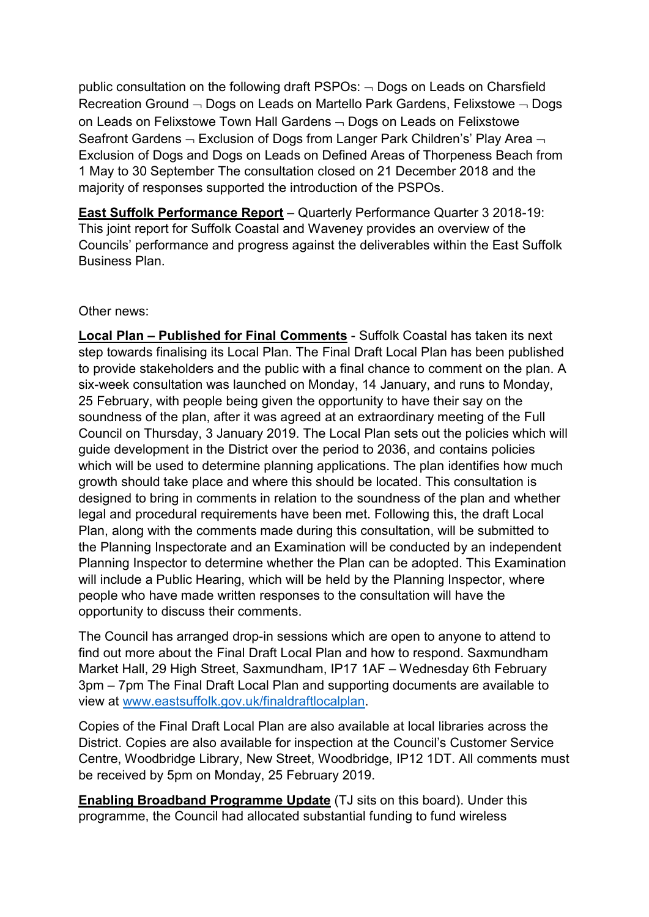public consultation on the following draft PSPOs:  $\neg$  Dogs on Leads on Charsfield Recreation Ground  $\neg$  Dogs on Leads on Martello Park Gardens, Felixstowe  $\neg$  Dogs on Leads on Felixstowe Town Hall Gardens  $\neg$  Dogs on Leads on Felixstowe Seafront Gardens  $\neg$  Exclusion of Dogs from Langer Park Children's' Play Area  $\neg$ Exclusion of Dogs and Dogs on Leads on Defined Areas of Thorpeness Beach from 1 May to 30 September The consultation closed on 21 December 2018 and the majority of responses supported the introduction of the PSPOs.

East Suffolk Performance Report – Quarterly Performance Quarter 3 2018-19: This joint report for Suffolk Coastal and Waveney provides an overview of the Councils' performance and progress against the deliverables within the East Suffolk Business Plan.

## Other news:

Local Plan – Published for Final Comments - Suffolk Coastal has taken its next step towards finalising its Local Plan. The Final Draft Local Plan has been published to provide stakeholders and the public with a final chance to comment on the plan. A six-week consultation was launched on Monday, 14 January, and runs to Monday, 25 February, with people being given the opportunity to have their say on the soundness of the plan, after it was agreed at an extraordinary meeting of the Full Council on Thursday, 3 January 2019. The Local Plan sets out the policies which will guide development in the District over the period to 2036, and contains policies which will be used to determine planning applications. The plan identifies how much growth should take place and where this should be located. This consultation is designed to bring in comments in relation to the soundness of the plan and whether legal and procedural requirements have been met. Following this, the draft Local Plan, along with the comments made during this consultation, will be submitted to the Planning Inspectorate and an Examination will be conducted by an independent Planning Inspector to determine whether the Plan can be adopted. This Examination will include a Public Hearing, which will be held by the Planning Inspector, where people who have made written responses to the consultation will have the opportunity to discuss their comments.

The Council has arranged drop-in sessions which are open to anyone to attend to find out more about the Final Draft Local Plan and how to respond. Saxmundham Market Hall, 29 High Street, Saxmundham, IP17 1AF – Wednesday 6th February 3pm – 7pm The Final Draft Local Plan and supporting documents are available to view at www.eastsuffolk.gov.uk/finaldraftlocalplan.

Copies of the Final Draft Local Plan are also available at local libraries across the District. Copies are also available for inspection at the Council's Customer Service Centre, Woodbridge Library, New Street, Woodbridge, IP12 1DT. All comments must be received by 5pm on Monday, 25 February 2019.

Enabling Broadband Programme Update (TJ sits on this board). Under this programme, the Council had allocated substantial funding to fund wireless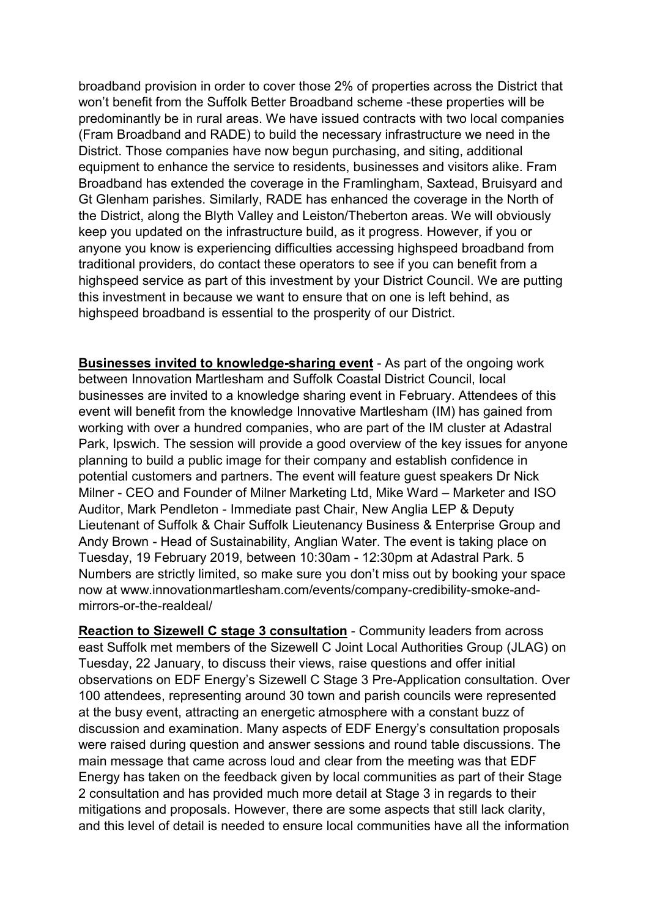broadband provision in order to cover those 2% of properties across the District that won't benefit from the Suffolk Better Broadband scheme -these properties will be predominantly be in rural areas. We have issued contracts with two local companies (Fram Broadband and RADE) to build the necessary infrastructure we need in the District. Those companies have now begun purchasing, and siting, additional equipment to enhance the service to residents, businesses and visitors alike. Fram Broadband has extended the coverage in the Framlingham, Saxtead, Bruisyard and Gt Glenham parishes. Similarly, RADE has enhanced the coverage in the North of the District, along the Blyth Valley and Leiston/Theberton areas. We will obviously keep you updated on the infrastructure build, as it progress. However, if you or anyone you know is experiencing difficulties accessing highspeed broadband from traditional providers, do contact these operators to see if you can benefit from a highspeed service as part of this investment by your District Council. We are putting this investment in because we want to ensure that on one is left behind, as highspeed broadband is essential to the prosperity of our District.

Businesses invited to knowledge-sharing event - As part of the ongoing work between Innovation Martlesham and Suffolk Coastal District Council, local businesses are invited to a knowledge sharing event in February. Attendees of this event will benefit from the knowledge Innovative Martlesham (IM) has gained from working with over a hundred companies, who are part of the IM cluster at Adastral Park, Ipswich. The session will provide a good overview of the key issues for anyone planning to build a public image for their company and establish confidence in potential customers and partners. The event will feature guest speakers Dr Nick Milner - CEO and Founder of Milner Marketing Ltd, Mike Ward – Marketer and ISO Auditor, Mark Pendleton - Immediate past Chair, New Anglia LEP & Deputy Lieutenant of Suffolk & Chair Suffolk Lieutenancy Business & Enterprise Group and Andy Brown - Head of Sustainability, Anglian Water. The event is taking place on Tuesday, 19 February 2019, between 10:30am - 12:30pm at Adastral Park. 5 Numbers are strictly limited, so make sure you don't miss out by booking your space now at www.innovationmartlesham.com/events/company-credibility-smoke-andmirrors-or-the-realdeal/

Reaction to Sizewell C stage 3 consultation - Community leaders from across east Suffolk met members of the Sizewell C Joint Local Authorities Group (JLAG) on Tuesday, 22 January, to discuss their views, raise questions and offer initial observations on EDF Energy's Sizewell C Stage 3 Pre-Application consultation. Over 100 attendees, representing around 30 town and parish councils were represented at the busy event, attracting an energetic atmosphere with a constant buzz of discussion and examination. Many aspects of EDF Energy's consultation proposals were raised during question and answer sessions and round table discussions. The main message that came across loud and clear from the meeting was that EDF Energy has taken on the feedback given by local communities as part of their Stage 2 consultation and has provided much more detail at Stage 3 in regards to their mitigations and proposals. However, there are some aspects that still lack clarity, and this level of detail is needed to ensure local communities have all the information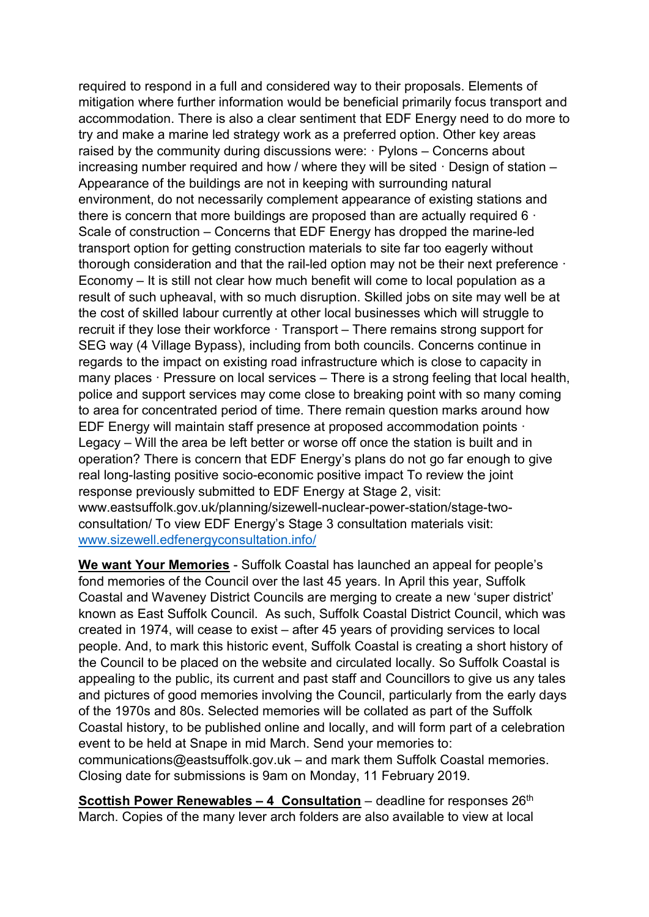required to respond in a full and considered way to their proposals. Elements of mitigation where further information would be beneficial primarily focus transport and accommodation. There is also a clear sentiment that EDF Energy need to do more to try and make a marine led strategy work as a preferred option. Other key areas raised by the community during discussions were: · Pylons – Concerns about increasing number required and how / where they will be sited · Design of station – Appearance of the buildings are not in keeping with surrounding natural environment, do not necessarily complement appearance of existing stations and there is concern that more buildings are proposed than are actually required 6 · Scale of construction – Concerns that EDF Energy has dropped the marine-led transport option for getting construction materials to site far too eagerly without thorough consideration and that the rail-led option may not be their next preference · Economy – It is still not clear how much benefit will come to local population as a result of such upheaval, with so much disruption. Skilled jobs on site may well be at the cost of skilled labour currently at other local businesses which will struggle to recruit if they lose their workforce · Transport – There remains strong support for SEG way (4 Village Bypass), including from both councils. Concerns continue in regards to the impact on existing road infrastructure which is close to capacity in many places · Pressure on local services – There is a strong feeling that local health, police and support services may come close to breaking point with so many coming to area for concentrated period of time. There remain question marks around how EDF Energy will maintain staff presence at proposed accommodation points · Legacy – Will the area be left better or worse off once the station is built and in operation? There is concern that EDF Energy's plans do not go far enough to give real long-lasting positive socio-economic positive impact To review the joint response previously submitted to EDF Energy at Stage 2, visit: www.eastsuffolk.gov.uk/planning/sizewell-nuclear-power-station/stage-twoconsultation/ To view EDF Energy's Stage 3 consultation materials visit: www.sizewell.edfenergyconsultation.info/

We want Your Memories - Suffolk Coastal has launched an appeal for people's fond memories of the Council over the last 45 years. In April this year, Suffolk Coastal and Waveney District Councils are merging to create a new 'super district' known as East Suffolk Council. As such, Suffolk Coastal District Council, which was created in 1974, will cease to exist – after 45 years of providing services to local people. And, to mark this historic event, Suffolk Coastal is creating a short history of the Council to be placed on the website and circulated locally. So Suffolk Coastal is appealing to the public, its current and past staff and Councillors to give us any tales and pictures of good memories involving the Council, particularly from the early days of the 1970s and 80s. Selected memories will be collated as part of the Suffolk Coastal history, to be published online and locally, and will form part of a celebration event to be held at Snape in mid March. Send your memories to: communications@eastsuffolk.gov.uk – and mark them Suffolk Coastal memories. Closing date for submissions is 9am on Monday, 11 February 2019.

**Scottish Power Renewables – 4 Consultation** – deadline for responses  $26<sup>th</sup>$ March. Copies of the many lever arch folders are also available to view at local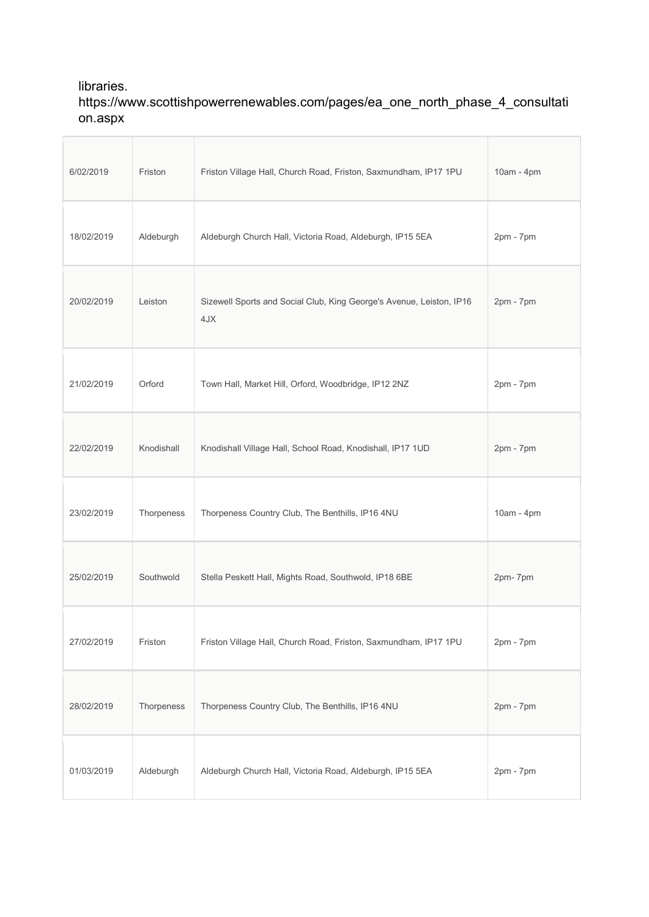## libraries. https://www.scottishpowerrenewables.com/pages/ea\_one\_north\_phase\_4\_consultati on.aspx

Ĥ.

| Friston    | Friston Village Hall, Church Road, Friston, Saxmundham, IP17 1PU            | 10am - 4pm  |
|------------|-----------------------------------------------------------------------------|-------------|
| Aldeburgh  | Aldeburgh Church Hall, Victoria Road, Aldeburgh, IP15 5EA                   | 2pm - 7pm   |
| Leiston    | Sizewell Sports and Social Club, King George's Avenue, Leiston, IP16<br>4JX | $2pm - 7pm$ |
| Orford     | Town Hall, Market Hill, Orford, Woodbridge, IP12 2NZ                        | 2pm - 7pm   |
| Knodishall | Knodishall Village Hall, School Road, Knodishall, IP17 1UD                  | $2pm - 7pm$ |
| Thorpeness | Thorpeness Country Club, The Benthills, IP16 4NU                            | 10am - 4pm  |
| Southwold  | Stella Peskett Hall, Mights Road, Southwold, IP18 6BE                       | 2pm-7pm     |
| Friston    | Friston Village Hall, Church Road, Friston, Saxmundham, IP17 1PU            | $2pm - 7pm$ |
| Thorpeness | Thorpeness Country Club, The Benthills, IP16 4NU                            | $2pm - 7pm$ |
| Aldeburgh  | Aldeburgh Church Hall, Victoria Road, Aldeburgh, IP15 5EA                   | 2pm - 7pm   |
|            |                                                                             |             |